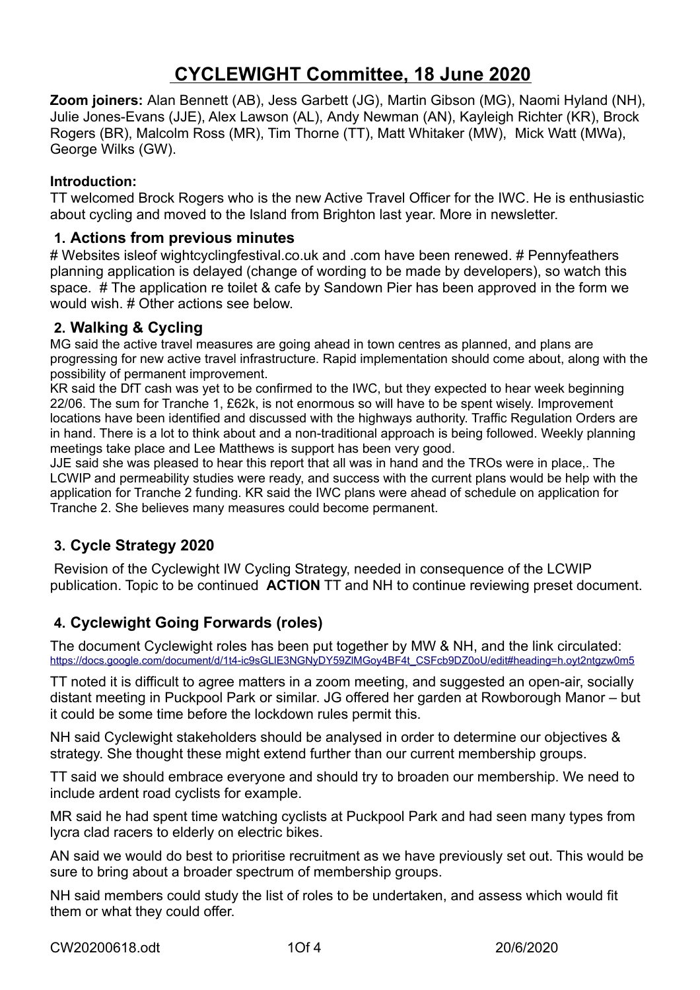# **CYCLEWIGHT Committee, 18 June 2020**

**Zoom joiners:** Alan Bennett (AB), Jess Garbett (JG), Martin Gibson (MG), Naomi Hyland (NH), Julie Jones-Evans (JJE), Alex Lawson (AL), Andy Newman (AN), Kayleigh Richter (KR), Brock Rogers (BR), Malcolm Ross (MR), Tim Thorne (TT), Matt Whitaker (MW), Mick Watt (MWa), George Wilks (GW).

#### **Introduction:**

TT welcomed Brock Rogers who is the new Active Travel Officer for the IWC. He is enthusiastic about cycling and moved to the Island from Brighton last year. More in newsletter.

#### **1. Actions from previous minutes**

# Websites isleof wightcyclingfestival.co.uk and .com have been renewed. # Pennyfeathers planning application is delayed (change of wording to be made by developers), so watch this space. # The application re toilet & cafe by Sandown Pier has been approved in the form we would wish. # Other actions see below.

#### **2. Walking & Cycling**

MG said the active travel measures are going ahead in town centres as planned, and plans are progressing for new active travel infrastructure. Rapid implementation should come about, along with the possibility of permanent improvement.

KR said the DfT cash was yet to be confirmed to the IWC, but they expected to hear week beginning 22/06. The sum for Tranche 1, £62k, is not enormous so will have to be spent wisely. Improvement locations have been identified and discussed with the highways authority. Traffic Regulation Orders are in hand. There is a lot to think about and a non-traditional approach is being followed. Weekly planning meetings take place and Lee Matthews is support has been very good.

JJE said she was pleased to hear this report that all was in hand and the TROs were in place,. The LCWIP and permeability studies were ready, and success with the current plans would be help with the application for Tranche 2 funding. KR said the IWC plans were ahead of schedule on application for Tranche 2. She believes many measures could become permanent.

## **3. Cycle Strategy 2020**

 Revision of the Cyclewight IW Cycling Strategy, needed in consequence of the LCWIP publication. Topic to be continued **ACTION** TT and NH to continue reviewing preset document.

## **4. Cyclewight Going Forwards (roles)**

The document Cyclewight roles has been put together by MW & NH, and the link circulated: https://docs.google.com/document/d/1t4-ic9sGLIE3NGNyDY59ZlMGoy4BF4t\_CSFcb9DZ0oU/edit#heading=h.ovt2ntgzw0m5

TT noted it is difficult to agree matters in a zoom meeting, and suggested an open-air, socially distant meeting in Puckpool Park or similar. JG offered her garden at Rowborough Manor – but it could be some time before the lockdown rules permit this.

NH said Cyclewight stakeholders should be analysed in order to determine our objectives & strategy. She thought these might extend further than our current membership groups.

TT said we should embrace everyone and should try to broaden our membership. We need to include ardent road cyclists for example.

MR said he had spent time watching cyclists at Puckpool Park and had seen many types from lycra clad racers to elderly on electric bikes.

AN said we would do best to prioritise recruitment as we have previously set out. This would be sure to bring about a broader spectrum of membership groups.

NH said members could study the list of roles to be undertaken, and assess which would fit them or what they could offer.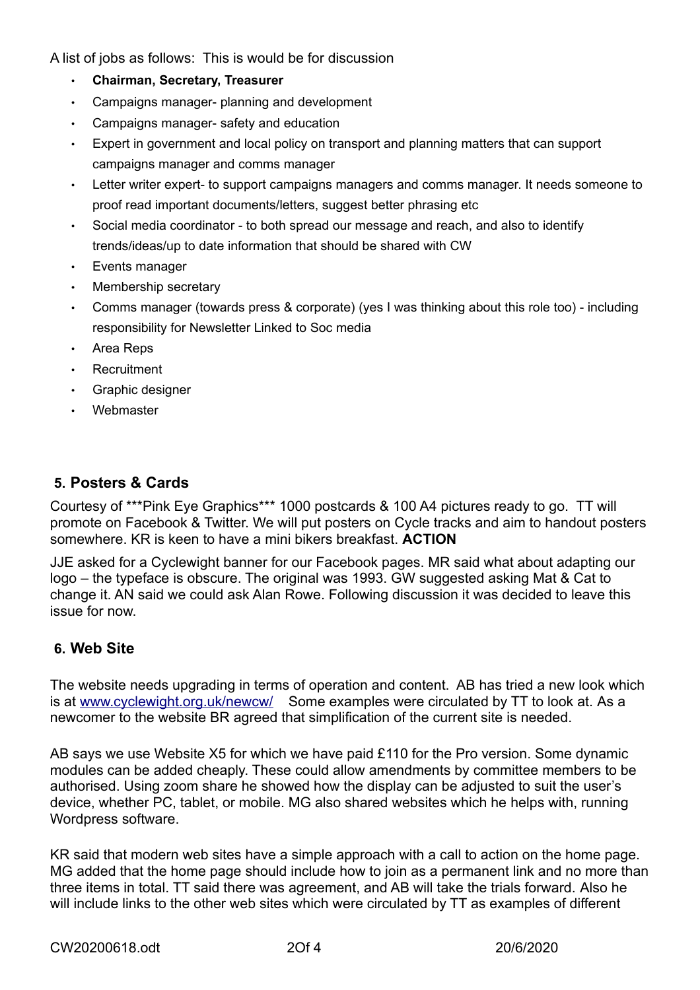A list of jobs as follows: This is would be for discussion

- **Chairman, Secretary, Treasurer**
- Campaigns manager- planning and development
- Campaigns manager- safety and education
- Expert in government and local policy on transport and planning matters that can support campaigns manager and comms manager
- Letter writer expert- to support campaigns managers and comms manager. It needs someone to proof read important documents/letters, suggest better phrasing etc
- Social media coordinator to both spread our message and reach, and also to identify trends/ideas/up to date information that should be shared with CW
- Events manager
- Membership secretary
- Comms manager (towards press & corporate) (yes I was thinking about this role too) including responsibility for Newsletter Linked to Soc media
- Area Reps
- **Recruitment**
- Graphic designer
- Webmaster

## **5. Posters & Cards**

Courtesy of \*\*\*Pink Eye Graphics\*\*\* 1000 postcards & 100 A4 pictures ready to go. TT will promote on Facebook & Twitter. We will put posters on Cycle tracks and aim to handout posters somewhere. KR is keen to have a mini bikers breakfast. **ACTION**

JJE asked for a Cyclewight banner for our Facebook pages. MR said what about adapting our logo – the typeface is obscure. The original was 1993. GW suggested asking Mat & Cat to change it. AN said we could ask Alan Rowe. Following discussion it was decided to leave this issue for now.

## **6. Web Site**

The website needs upgrading in terms of operation and content. AB has tried a new look which is at [www.cyclewight.org.uk/newcw/](http://www.cyclewight.org.uk/newcw/) Some examples were circulated by TT to look at. As a newcomer to the website BR agreed that simplification of the current site is needed.

AB says we use Website X5 for which we have paid £110 for the Pro version. Some dynamic modules can be added cheaply. These could allow amendments by committee members to be authorised. Using zoom share he showed how the display can be adjusted to suit the user's device, whether PC, tablet, or mobile. MG also shared websites which he helps with, running Wordpress software.

KR said that modern web sites have a simple approach with a call to action on the home page. MG added that the home page should include how to join as a permanent link and no more than three items in total. TT said there was agreement, and AB will take the trials forward. Also he will include links to the other web sites which were circulated by TT as examples of different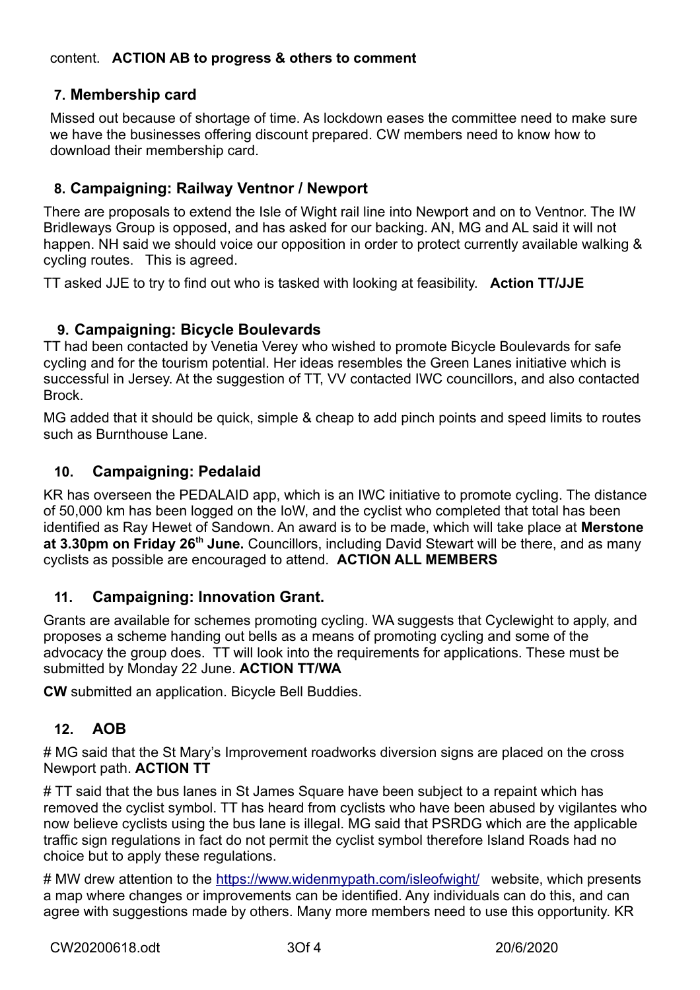## **7. Membership card**

Missed out because of shortage of time. As lockdown eases the committee need to make sure we have the businesses offering discount prepared. CW members need to know how to download their membership card.

## **8. Campaigning: Railway Ventnor / Newport**

There are proposals to extend the Isle of Wight rail line into Newport and on to Ventnor. The IW Bridleways Group is opposed, and has asked for our backing. AN, MG and AL said it will not happen. NH said we should voice our opposition in order to protect currently available walking & cycling routes. This is agreed.

TT asked JJE to try to find out who is tasked with looking at feasibility. **Action TT/JJE**

#### **9. Campaigning: Bicycle Boulevards**

TT had been contacted by Venetia Verey who wished to promote Bicycle Boulevards for safe cycling and for the tourism potential. Her ideas resembles the Green Lanes initiative which is successful in Jersey. At the suggestion of TT, VV contacted IWC councillors, and also contacted **Brock.** 

MG added that it should be quick, simple & cheap to add pinch points and speed limits to routes such as Burnthouse Lane.

#### **10. Campaigning: Pedalaid**

KR has overseen the PEDALAID app, which is an IWC initiative to promote cycling. The distance of 50,000 km has been logged on the IoW, and the cyclist who completed that total has been identified as Ray Hewet of Sandown. An award is to be made, which will take place at **Merstone at 3.30pm on Friday 26th June.** Councillors, including David Stewart will be there, and as many cyclists as possible are encouraged to attend. **ACTION ALL MEMBERS**

#### **11. Campaigning: Innovation Grant.**

Grants are available for schemes promoting cycling. WA suggests that Cyclewight to apply, and proposes a scheme handing out bells as a means of promoting cycling and some of the advocacy the group does. TT will look into the requirements for applications. These must be submitted by Monday 22 June. **ACTION TT/WA** 

**CW** submitted an application. Bicycle Bell Buddies.

## **12. AOB**

# MG said that the St Mary's Improvement roadworks diversion signs are placed on the cross Newport path. **ACTION TT**

# TT said that the bus lanes in St James Square have been subject to a repaint which has removed the cyclist symbol. TT has heard from cyclists who have been abused by vigilantes who now believe cyclists using the bus lane is illegal. MG said that PSRDG which are the applicable traffic sign regulations in fact do not permit the cyclist symbol therefore Island Roads had no choice but to apply these regulations.

# MW drew attention to the<https://www.widenmypath.com/isleofwight/>website, which presents a map where changes or improvements can be identified. Any individuals can do this, and can agree with suggestions made by others. Many more members need to use this opportunity. KR